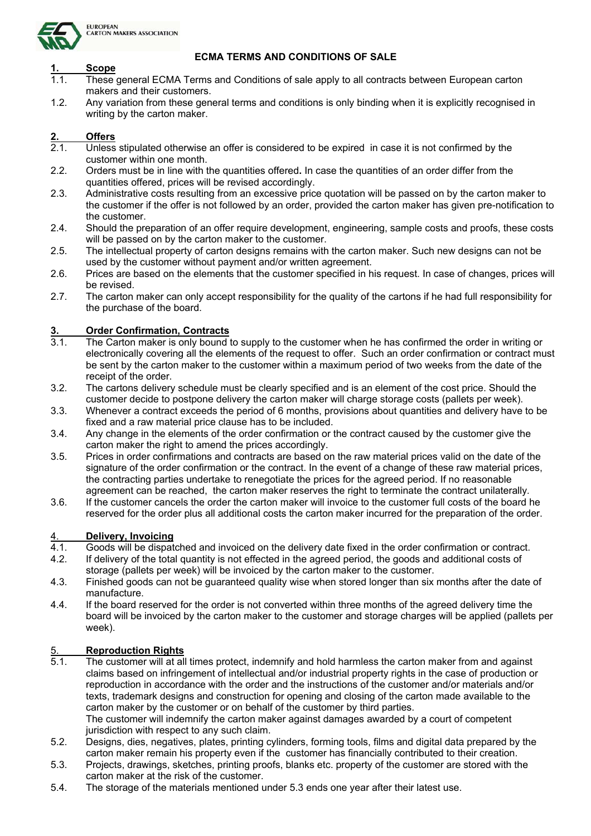

#### **ECMA TERMS AND CONDITIONS OF SALE**

### **1. Scope**

- 1.1. These general ECMA Terms and Conditions of sale apply to all contracts between European carton makers and their customers.
- 1.2. Any variation from these general terms and conditions is only binding when it is explicitly recognised in writing by the carton maker.

# 2. **Offers**<br>2.1. Unless

- Unless stipulated otherwise an offer is considered to be expired in case it is not confirmed by the customer within one month.
- 2.2. Orders must be in line with the quantities offered**.** In case the quantities of an order differ from the quantities offered, prices will be revised accordingly.
- 2.3. Administrative costs resulting from an excessive price quotation will be passed on by the carton maker to the customer if the offer is not followed by an order, provided the carton maker has given pre-notification to the customer.
- 2.4. Should the preparation of an offer require development, engineering, sample costs and proofs, these costs will be passed on by the carton maker to the customer.
- 2.5. The intellectual property of carton designs remains with the carton maker. Such new designs can not be used by the customer without payment and/or written agreement.
- 2.6. Prices are based on the elements that the customer specified in his request. In case of changes, prices will be revised.
- 2.7. The carton maker can only accept responsibility for the quality of the cartons if he had full responsibility for the purchase of the board.

## **3. Order Confirmation, Contracts**

- The Carton maker is only bound to supply to the customer when he has confirmed the order in writing or electronically covering all the elements of the request to offer. Such an order confirmation or contract must be sent by the carton maker to the customer within a maximum period of two weeks from the date of the receipt of the order.
- 3.2. The cartons delivery schedule must be clearly specified and is an element of the cost price. Should the customer decide to postpone delivery the carton maker will charge storage costs (pallets per week).
- 3.3. Whenever a contract exceeds the period of 6 months, provisions about quantities and delivery have to be fixed and a raw material price clause has to be included.
- 3.4. Any change in the elements of the order confirmation or the contract caused by the customer give the carton maker the right to amend the prices accordingly.
- 3.5. Prices in order confirmations and contracts are based on the raw material prices valid on the date of the signature of the order confirmation or the contract. In the event of a change of these raw material prices, the contracting parties undertake to renegotiate the prices for the agreed period. If no reasonable agreement can be reached, the carton maker reserves the right to terminate the contract unilaterally*.*
- 3.6. If the customer cancels the order the carton maker will invoice to the customer full costs of the board he reserved for the order plus all additional costs the carton maker incurred for the preparation of the order.

#### 4. **Delivery, Invoicing**

- 4.1. Goods will be dispatched and invoiced on the delivery date fixed in the order confirmation or contract.
- 4.2. If delivery of the total quantity is not effected in the agreed period, the goods and additional costs of storage (pallets per week) will be invoiced by the carton maker to the customer.
- 4.3. Finished goods can not be guaranteed quality wise when stored longer than six months after the date of manufacture.
- 4.4. If the board reserved for the order is not converted within three months of the agreed delivery time the board will be invoiced by the carton maker to the customer and storage charges will be applied (pallets per week).

## 5. **Reproduction Rights**

- The customer will at all times protect, indemnify and hold harmless the carton maker from and against claims based on infringement of intellectual and/or industrial property rights in the case of production or reproduction in accordance with the order and the instructions of the customer and/or materials and/or texts, trademark designs and construction for opening and closing of the carton made available to the carton maker by the customer or on behalf of the customer by third parties. The customer will indemnify the carton maker against damages awarded by a court of competent
- jurisdiction with respect to any such claim. 5.2. Designs, dies, negatives, plates, printing cylinders, forming tools, films and digital data prepared by the carton maker remain his property even if the customer has financially contributed to their creation.
- 5.3. Projects, drawings, sketches, printing proofs, blanks etc. property of the customer are stored with the carton maker at the risk of the customer.
- 5.4. The storage of the materials mentioned under 5.3 ends one year after their latest use.